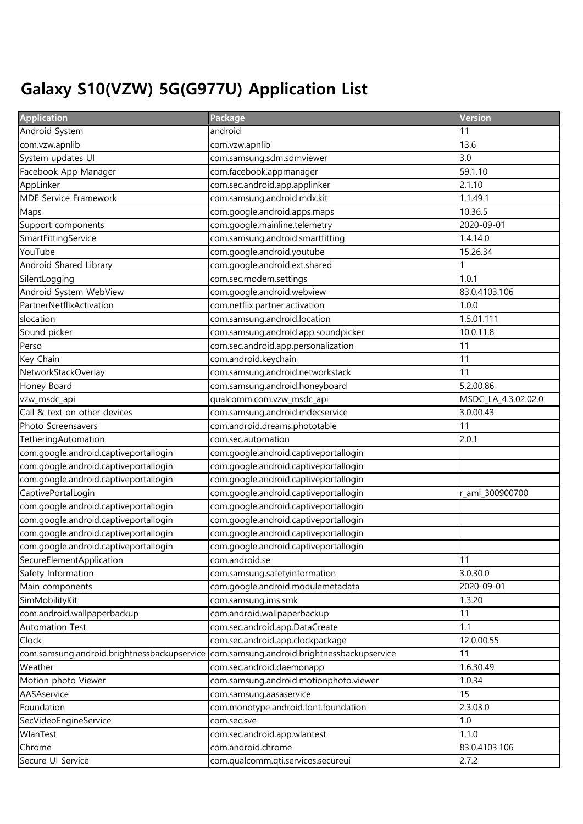## Galaxy S10(VZW) 5G(G977U) Application List

| <b>Application</b>                          | Package                                     | Version             |
|---------------------------------------------|---------------------------------------------|---------------------|
| Android System                              | android                                     | 11                  |
| com.vzw.apnlib                              | com.vzw.apnlib                              | 13.6                |
| System updates UI                           | com.samsung.sdm.sdmviewer                   | 3.0                 |
| Facebook App Manager                        | com.facebook.appmanager                     | 59.1.10             |
| AppLinker                                   | com.sec.android.app.applinker               | 2.1.10              |
| <b>MDE Service Framework</b>                | com.samsung.android.mdx.kit                 | 1.1.49.1            |
| Maps                                        | com.google.android.apps.maps                | 10.36.5             |
| Support components                          | com.google.mainline.telemetry               | 2020-09-01          |
| SmartFittingService                         | com.samsung.android.smartfitting            | 1.4.14.0            |
| YouTube                                     | com.google.android.youtube                  | 15.26.34            |
| Android Shared Library                      | com.google.android.ext.shared               |                     |
| SilentLogging                               | com.sec.modem.settings                      | 1.0.1               |
| Android System WebView                      | com.google.android.webview                  | 83.0.4103.106       |
| PartnerNetflixActivation                    | com.netflix.partner.activation              | 1.0.0               |
| slocation                                   | com.samsung.android.location                | 1.5.01.111          |
| Sound picker                                | com.samsung.android.app.soundpicker         | 10.0.11.8           |
| Perso                                       | com.sec.android.app.personalization         | 11                  |
| Key Chain                                   | com.android.keychain                        | 11                  |
| NetworkStackOverlay                         | com.samsung.android.networkstack            | 11                  |
| Honey Board                                 | com.samsung.android.honeyboard              | 5.2.00.86           |
| vzw_msdc_api                                | qualcomm.com.vzw_msdc_api                   | MSDC_LA_4.3.02.02.0 |
| Call & text on other devices                | com.samsung.android.mdecservice             | 3.0.00.43           |
| Photo Screensavers                          | com.android.dreams.phototable               | 11                  |
| TetheringAutomation                         | com.sec.automation                          | 2.0.1               |
| com.google.android.captiveportallogin       | com.google.android.captiveportallogin       |                     |
| com.google.android.captiveportallogin       | com.google.android.captiveportallogin       |                     |
| com.google.android.captiveportallogin       | com.google.android.captiveportallogin       |                     |
| CaptivePortalLogin                          | com.google.android.captiveportallogin       | r_aml_300900700     |
| com.google.android.captiveportallogin       | com.google.android.captiveportallogin       |                     |
| com.google.android.captiveportallogin       | com.google.android.captiveportallogin       |                     |
| com.google.android.captiveportallogin       | com.google.android.captiveportallogin       |                     |
| com.google.android.captiveportallogin       | com.google.android.captiveportallogin       |                     |
| SecureElementApplication                    | com.android.se                              | 11                  |
| Safety Information                          | com.samsung.safetyinformation               | 3.0.30.0            |
| Main components                             | com.google.android.modulemetadata           | 2020-09-01          |
| SimMobilityKit                              | com.samsung.ims.smk                         | 1.3.20              |
| com.android.wallpaperbackup                 | com.android.wallpaperbackup                 | 11                  |
| Automation Test                             | com.sec.android.app.DataCreate              | 1.1                 |
| Clock                                       | com.sec.android.app.clockpackage            | 12.0.00.55          |
| com.samsung.android.brightnessbackupservice | com.samsung.android.brightnessbackupservice | 11                  |
| Weather                                     | com.sec.android.daemonapp                   | 1.6.30.49           |
| Motion photo Viewer                         | com.samsung.android.motionphoto.viewer      | 1.0.34              |
| AASAservice                                 | com.samsung.aasaservice                     | 15                  |
| Foundation                                  | com.monotype.android.font.foundation        | 2.3.03.0            |
| SecVideoEngineService                       | com.sec.sve                                 | 1.0                 |
| WlanTest                                    | com.sec.android.app.wlantest                | 1.1.0               |
| Chrome                                      | com.android.chrome                          | 83.0.4103.106       |
| Secure UI Service                           | com.qualcomm.qti.services.secureui          | 2.7.2               |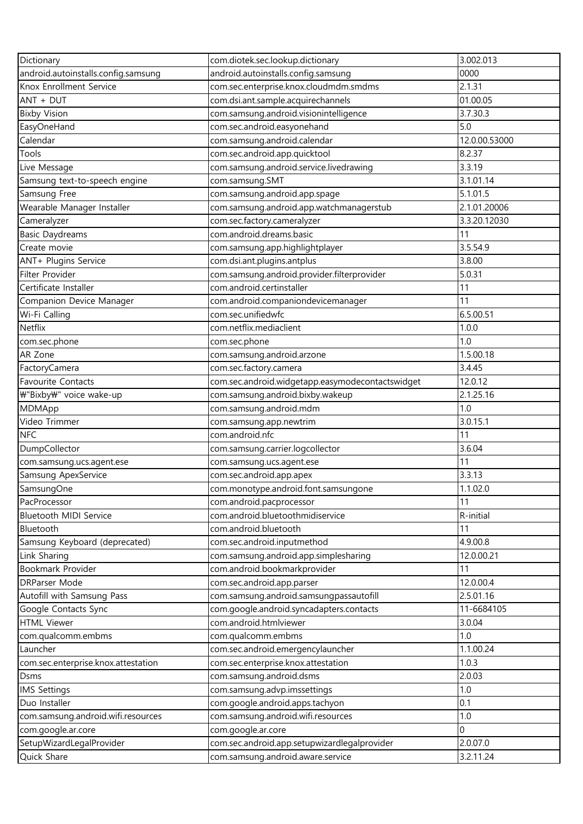| Dictionary                          | com.diotek.sec.lookup.dictionary                 | 3.002.013     |
|-------------------------------------|--------------------------------------------------|---------------|
| android.autoinstalls.config.samsung | android.autoinstalls.config.samsung              | 0000          |
| Knox Enrollment Service             | com.sec.enterprise.knox.cloudmdm.smdms           | 2.1.31        |
| ANT + DUT                           | com.dsi.ant.sample.acquirechannels               | 01.00.05      |
| <b>Bixby Vision</b>                 | com.samsung.android.visionintelligence           | 3.7.30.3      |
| EasyOneHand                         | com.sec.android.easyonehand                      | 5.0           |
| Calendar                            | com.samsung.android.calendar                     | 12.0.00.53000 |
| Tools                               | com.sec.android.app.quicktool                    | 8.2.37        |
| Live Message                        | com.samsung.android.service.livedrawing          | 3.3.19        |
| Samsung text-to-speech engine       | com.samsung.SMT                                  | 3.1.01.14     |
| Samsung Free                        | com.samsung.android.app.spage                    | 5.1.01.5      |
| Wearable Manager Installer          | com.samsung.android.app.watchmanagerstub         | 2.1.01.20006  |
| Cameralyzer                         | com.sec.factory.cameralyzer                      | 3.3.20.12030  |
| <b>Basic Daydreams</b>              | com.android.dreams.basic                         | 11            |
| Create movie                        | com.samsung.app.highlightplayer                  | 3.5.54.9      |
| ANT+ Plugins Service                | com.dsi.ant.plugins.antplus                      | 3.8.00        |
| Filter Provider                     | com.samsung.android.provider.filterprovider      | 5.0.31        |
| Certificate Installer               | com.android.certinstaller                        | 11            |
| Companion Device Manager            | com.android.companiondevicemanager               | 11            |
| Wi-Fi Calling                       | com.sec.unifiedwfc                               | 6.5.00.51     |
| Netflix                             | com.netflix.mediaclient                          | 1.0.0         |
| com.sec.phone                       | com.sec.phone                                    | 1.0           |
| AR Zone                             | com.samsung.android.arzone                       | 1.5.00.18     |
| FactoryCamera                       | com.sec.factory.camera                           | 3.4.45        |
| <b>Favourite Contacts</b>           | com.sec.android.widgetapp.easymodecontactswidget | 12.0.12       |
| ₩"Bixby₩" voice wake-up             | com.samsung.android.bixby.wakeup                 | 2.1.25.16     |
| MDMApp                              | com.samsung.android.mdm                          | 1.0           |
| Video Trimmer                       | com.samsung.app.newtrim                          | 3.0.15.1      |
| <b>NFC</b>                          | com.android.nfc                                  | 11            |
| DumpCollector                       | com.samsung.carrier.logcollector                 | 3.6.04        |
| com.samsung.ucs.agent.ese           | com.samsung.ucs.agent.ese                        | 11            |
| Samsung ApexService                 | com.sec.android.app.apex                         | 3.3.13        |
| SamsungOne                          | com.monotype.android.font.samsungone             | 1.1.02.0      |
| PacProcessor                        | com.android.pacprocessor                         | 11            |
| Bluetooth MIDI Service              | com.android.bluetoothmidiservice                 | R-initial     |
| Bluetooth                           | com.android.bluetooth                            | 11            |
| Samsung Keyboard (deprecated)       | com.sec.android.inputmethod                      | 4.9.00.8      |
| Link Sharing                        | com.samsung.android.app.simplesharing            | 12.0.00.21    |
| Bookmark Provider                   | com.android.bookmarkprovider                     | 11            |
| <b>DRParser Mode</b>                | com.sec.android.app.parser                       | 12.0.00.4     |
| Autofill with Samsung Pass          | com.samsung.android.samsungpassautofill          | 2.5.01.16     |
| Google Contacts Sync                | com.google.android.syncadapters.contacts         | 11-6684105    |
| <b>HTML Viewer</b>                  | com.android.htmlviewer                           | 3.0.04        |
| com.qualcomm.embms                  | com.qualcomm.embms                               | 1.0           |
| Launcher                            | com.sec.android.emergencylauncher                | 1.1.00.24     |
| com.sec.enterprise.knox.attestation | com.sec.enterprise.knox.attestation              | 1.0.3         |
| Dsms                                | com.samsung.android.dsms                         | 2.0.03        |
| <b>IMS Settings</b>                 | com.samsung.advp.imssettings                     | 1.0           |
| Duo Installer                       | com.google.android.apps.tachyon                  | 0.1           |
| com.samsung.android.wifi.resources  | com.samsung.android.wifi.resources               | 1.0           |
| com.google.ar.core                  | com.google.ar.core                               | $\Omega$      |
| SetupWizardLegalProvider            | com.sec.android.app.setupwizardlegalprovider     | 2.0.07.0      |
| Quick Share                         | com.samsung.android.aware.service                | 3.2.11.24     |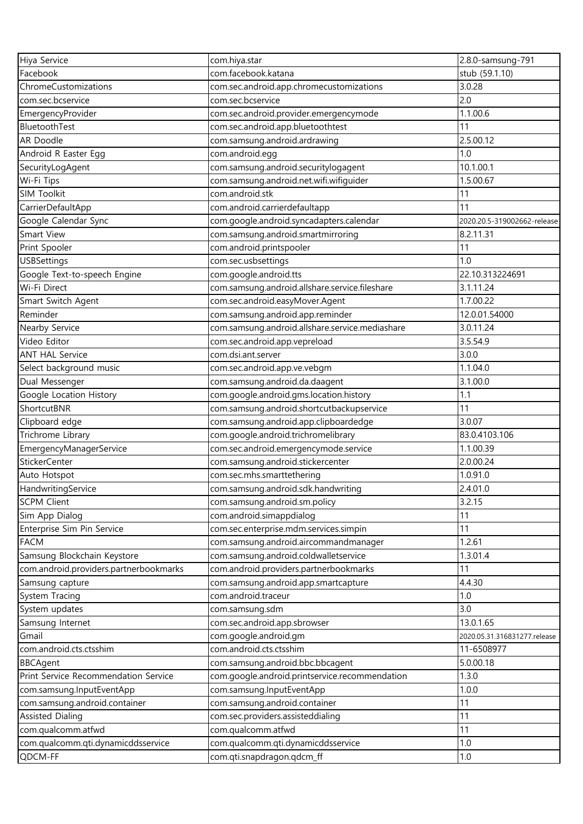| Hiya Service                           | com.hiya.star                                   | 2.8.0-samsung-791            |
|----------------------------------------|-------------------------------------------------|------------------------------|
| Facebook                               | com.facebook.katana                             | stub (59.1.10)               |
| ChromeCustomizations                   | com.sec.android.app.chromecustomizations        | 3.0.28                       |
| com.sec.bcservice                      | com.sec.bcservice                               | 2.0                          |
| EmergencyProvider                      | com.sec.android.provider.emergencymode          | 1.1.00.6                     |
| BluetoothTest                          | com.sec.android.app.bluetoothtest               | 11                           |
| <b>AR Doodle</b>                       | com.samsung.android.ardrawing                   | 2.5.00.12                    |
| Android R Easter Egg                   | com.android.egg                                 | 1.0                          |
| SecurityLogAgent                       | com.samsung.android.securitylogagent            | 10.1.00.1                    |
| Wi-Fi Tips                             | com.samsung.android.net.wifi.wifiguider         | 1.5.00.67                    |
| SIM Toolkit                            | com.android.stk                                 | 11                           |
| CarrierDefaultApp                      | com.android.carrierdefaultapp                   | 11                           |
| Google Calendar Sync                   | com.google.android.syncadapters.calendar        | 2020.20.5-319002662-release  |
| Smart View                             | com.samsung.android.smartmirroring              | 8.2.11.31                    |
| Print Spooler                          | com.android.printspooler                        | 11                           |
| <b>USBSettings</b>                     | com.sec.usbsettings                             | 1.0                          |
| Google Text-to-speech Engine           | com.google.android.tts                          | 22.10.313224691              |
| Wi-Fi Direct                           | com.samsung.android.allshare.service.fileshare  | 3.1.11.24                    |
| Smart Switch Agent                     | com.sec.android.easyMover.Agent                 | 1.7.00.22                    |
| Reminder                               | com.samsung.android.app.reminder                | 12.0.01.54000                |
| Nearby Service                         | com.samsung.android.allshare.service.mediashare | 3.0.11.24                    |
| Video Editor                           | com.sec.android.app.vepreload                   | 3.5.54.9                     |
| <b>ANT HAL Service</b>                 | com.dsi.ant.server                              | 3.0.0                        |
| Select background music                | com.sec.android.app.ve.vebgm                    | 1.1.04.0                     |
| Dual Messenger                         | com.samsung.android.da.daagent                  | 3.1.00.0                     |
| Google Location History                | com.google.android.gms.location.history         | 1.1                          |
| ShortcutBNR                            | com.samsung.android.shortcutbackupservice       | 11                           |
| Clipboard edge                         | com.samsung.android.app.clipboardedge           | 3.0.07                       |
| Trichrome Library                      | com.google.android.trichromelibrary             | 83.0.4103.106                |
| EmergencyManagerService                | com.sec.android.emergencymode.service           | 1.1.00.39                    |
| StickerCenter                          | com.samsung.android.stickercenter               | 2.0.00.24                    |
| Auto Hotspot                           | com.sec.mhs.smarttethering                      | 1.0.91.0                     |
| HandwritingService                     | com.samsung.android.sdk.handwriting             | 2.4.01.0                     |
| <b>SCPM Client</b>                     | com.samsung.android.sm.policy                   | 3.2.15                       |
| Sim App Dialog                         | com.android.simappdialog                        | 11                           |
| Enterprise Sim Pin Service             | com.sec.enterprise.mdm.services.simpin          | 11                           |
| <b>FACM</b>                            | com.samsung.android.aircommandmanager           | 1.2.61                       |
| Samsung Blockchain Keystore            | com.samsung.android.coldwalletservice           | 1.3.01.4                     |
| com.android.providers.partnerbookmarks | com.android.providers.partnerbookmarks          | 11                           |
| Samsung capture                        | com.samsung.android.app.smartcapture            | 4.4.30                       |
| System Tracing                         | com.android.traceur                             | 1.0                          |
| System updates                         | com.samsung.sdm                                 | 3.0                          |
| Samsung Internet                       | com.sec.android.app.sbrowser                    | 13.0.1.65                    |
| Gmail                                  | com.google.android.gm                           | 2020.05.31.316831277.release |
| com.android.cts.ctsshim                | com.android.cts.ctsshim                         | 11-6508977                   |
| <b>BBCAgent</b>                        | com.samsung.android.bbc.bbcagent                | 5.0.00.18                    |
| Print Service Recommendation Service   | com.google.android.printservice.recommendation  | 1.3.0                        |
| com.samsung.InputEventApp              | com.samsung.InputEventApp                       | 1.0.0                        |
| com.samsung.android.container          | com.samsung.android.container                   | 11                           |
| <b>Assisted Dialing</b>                | com.sec.providers.assisteddialing               | 11                           |
| com.qualcomm.atfwd                     | com.qualcomm.atfwd                              | 11                           |
| com.qualcomm.qti.dynamicddsservice     | com.qualcomm.qti.dynamicddsservice              | 1.0                          |
| QDCM-FF                                | com.qti.snapdragon.qdcm_ff                      | 1.0                          |
|                                        |                                                 |                              |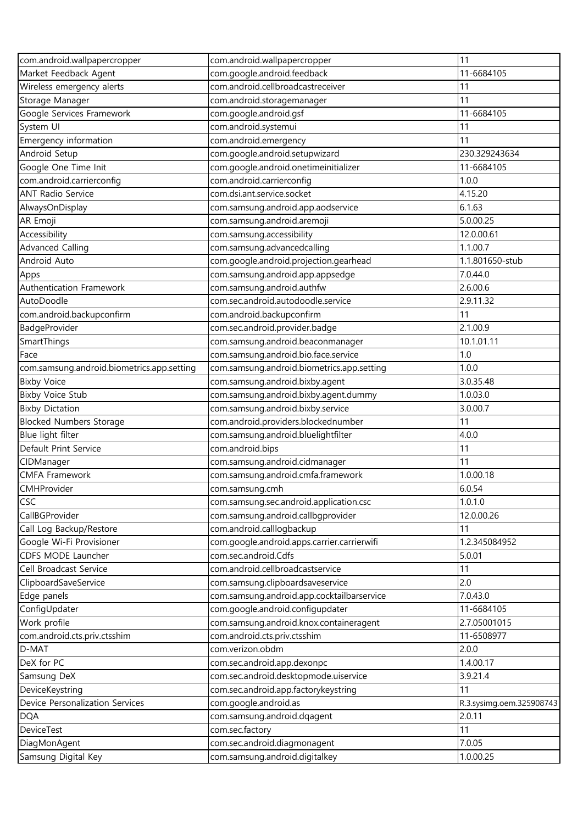| com.android.wallpapercropper               | com.android.wallpapercropper                | 11                       |
|--------------------------------------------|---------------------------------------------|--------------------------|
| Market Feedback Agent                      | com.google.android.feedback                 | 11-6684105               |
| Wireless emergency alerts                  | com.android.cellbroadcastreceiver           | 11                       |
| Storage Manager                            | com.android.storagemanager                  | 11                       |
| Google Services Framework                  | com.google.android.gsf                      | 11-6684105               |
| System UI                                  | com.android.systemui                        | 11                       |
| Emergency information                      | com.android.emergency                       | 11                       |
| Android Setup                              | com.google.android.setupwizard              | 230.329243634            |
| Google One Time Init                       | com.google.android.onetimeinitializer       | 11-6684105               |
| com.android.carrierconfig                  | com.android.carrierconfig                   | 1.0.0                    |
| <b>ANT Radio Service</b>                   | com.dsi.ant.service.socket                  | 4.15.20                  |
| AlwaysOnDisplay                            | com.samsung.android.app.aodservice          | 6.1.63                   |
| AR Emoji                                   | com.samsung.android.aremoji                 | 5.0.00.25                |
| Accessibility                              | com.samsung.accessibility                   | 12.0.00.61               |
| <b>Advanced Calling</b>                    | com.samsung.advancedcalling                 | 1.1.00.7                 |
| Android Auto                               | com.google.android.projection.gearhead      | 1.1.801650-stub          |
| Apps                                       | com.samsung.android.app.appsedge            | 7.0.44.0                 |
| Authentication Framework                   | com.samsung.android.authfw                  | 2.6.00.6                 |
| AutoDoodle                                 | com.sec.android.autodoodle.service          | 2.9.11.32                |
| com.android.backupconfirm                  | com.android.backupconfirm                   | 11                       |
| BadgeProvider                              | com.sec.android.provider.badge              | 2.1.00.9                 |
| SmartThings                                | com.samsung.android.beaconmanager           | 10.1.01.11               |
| Face                                       | com.samsung.android.bio.face.service        | 1.0                      |
| com.samsung.android.biometrics.app.setting | com.samsung.android.biometrics.app.setting  | 1.0.0                    |
| <b>Bixby Voice</b>                         | com.samsung.android.bixby.agent             | 3.0.35.48                |
| <b>Bixby Voice Stub</b>                    | com.samsung.android.bixby.agent.dummy       | 1.0.03.0                 |
| <b>Bixby Dictation</b>                     | com.samsung.android.bixby.service           | 3.0.00.7                 |
| <b>Blocked Numbers Storage</b>             | com.android.providers.blockednumber         | 11                       |
| Blue light filter                          | com.samsung.android.bluelightfilter         | 4.0.0                    |
| Default Print Service                      | com.android.bips                            | 11                       |
| CIDManager                                 | com.samsung.android.cidmanager              | 11                       |
| <b>CMFA Framework</b>                      | com.samsung.android.cmfa.framework          | 1.0.00.18                |
| CMHProvider                                | com.samsung.cmh                             | 6.0.54                   |
| <b>CSC</b>                                 | com.samsung.sec.android.application.csc     | 1.0.1.0                  |
| CallBGProvider                             | com.samsung.android.callbgprovider          | 12.0.00.26               |
| Call Log Backup/Restore                    | com.android.calllogbackup                   | 11                       |
| Google Wi-Fi Provisioner                   | com.google.android.apps.carrier.carrierwifi | 1.2.345084952            |
| CDFS MODE Launcher                         | com.sec.android.Cdfs                        | 5.0.01                   |
| Cell Broadcast Service                     | com.android.cellbroadcastservice            | 11                       |
| ClipboardSaveService                       | com.samsung.clipboardsaveservice            | 2.0                      |
| Edge panels                                | com.samsung.android.app.cocktailbarservice  | 7.0.43.0                 |
| ConfigUpdater                              | com.google.android.configupdater            | 11-6684105               |
| Work profile                               | com.samsung.android.knox.containeragent     | 2.7.05001015             |
| com.android.cts.priv.ctsshim               | com.android.cts.priv.ctsshim                | 11-6508977               |
| D-MAT                                      | com.verizon.obdm                            | 2.0.0                    |
| DeX for PC                                 | com.sec.android.app.dexonpc                 | 1.4.00.17                |
| Samsung DeX                                | com.sec.android.desktopmode.uiservice       | 3.9.21.4                 |
| DeviceKeystring                            | com.sec.android.app.factorykeystring        | 11                       |
| Device Personalization Services            | com.google.android.as                       | R.3.sysimg.oem.325908743 |
| <b>DQA</b>                                 | com.samsung.android.dqagent                 | 2.0.11                   |
| <b>DeviceTest</b>                          | com.sec.factory                             | 11                       |
| DiagMonAgent                               | com.sec.android.diagmonagent                | 7.0.05                   |
| Samsung Digital Key                        | com.samsung.android.digitalkey              | 1.0.00.25                |
|                                            |                                             |                          |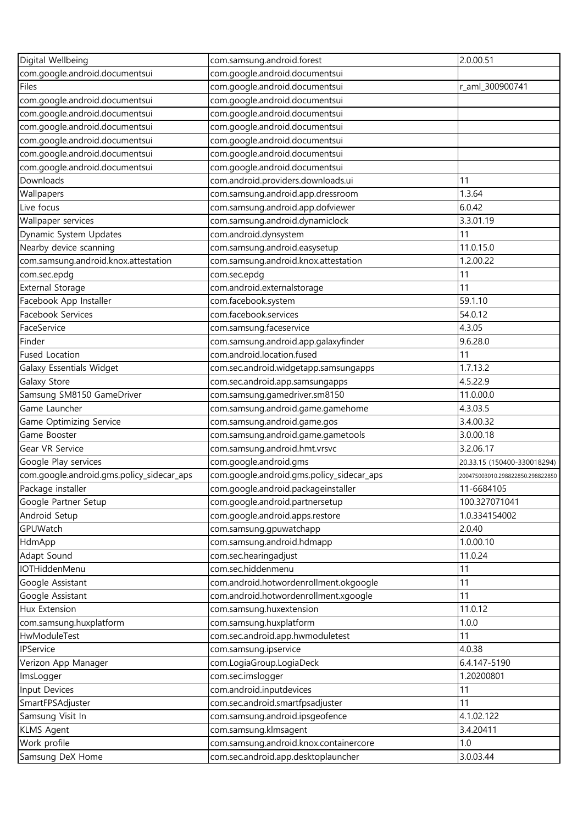| Digital Wellbeing                         | com.samsung.android.forest                | 2.0.00.51                        |
|-------------------------------------------|-------------------------------------------|----------------------------------|
| com.google.android.documentsui            | com.google.android.documentsui            |                                  |
| Files                                     | com.google.android.documentsui            | r_aml_300900741                  |
| com.google.android.documentsui            | com.google.android.documentsui            |                                  |
| com.google.android.documentsui            | com.google.android.documentsui            |                                  |
| com.google.android.documentsui            | com.google.android.documentsui            |                                  |
| com.google.android.documentsui            | com.google.android.documentsui            |                                  |
| com.google.android.documentsui            | com.google.android.documentsui            |                                  |
| com.google.android.documentsui            | com.google.android.documentsui            |                                  |
| Downloads                                 | com.android.providers.downloads.ui        | 11                               |
| Wallpapers                                | com.samsung.android.app.dressroom         | 1.3.64                           |
| Live focus                                | com.samsung.android.app.dofviewer         | 6.0.42                           |
| Wallpaper services                        | com.samsung.android.dynamiclock           | 3.3.01.19                        |
| Dynamic System Updates                    | com.android.dynsystem                     | 11                               |
| Nearby device scanning                    | com.samsung.android.easysetup             | 11.0.15.0                        |
| com.samsung.android.knox.attestation      | com.samsung.android.knox.attestation      | 1.2.00.22                        |
| com.sec.epdg                              | com.sec.epdg                              | 11                               |
| <b>External Storage</b>                   | com.android.externalstorage               | 11                               |
| Facebook App Installer                    | com.facebook.system                       | 59.1.10                          |
| Facebook Services                         | com.facebook.services                     | 54.0.12                          |
| FaceService                               | com.samsung.faceservice                   | 4.3.05                           |
| Finder                                    | com.samsung.android.app.galaxyfinder      | 9.6.28.0                         |
| <b>Fused Location</b>                     | com.android.location.fused                | 11                               |
| Galaxy Essentials Widget                  | com.sec.android.widgetapp.samsungapps     | 1.7.13.2                         |
| Galaxy Store                              | com.sec.android.app.samsungapps           | 4.5.22.9                         |
| Samsung SM8150 GameDriver                 | com.samsung.gamedriver.sm8150             | 11.0.00.0                        |
| Game Launcher                             | com.samsung.android.game.gamehome         | 4.3.03.5                         |
| Game Optimizing Service                   | com.samsung.android.game.gos              | 3.4.00.32                        |
| Game Booster                              | com.samsung.android.game.gametools        | 3.0.00.18                        |
| Gear VR Service                           | com.samsung.android.hmt.vrsvc             | 3.2.06.17                        |
| Google Play services                      | com.google.android.gms                    | 20.33.15 (150400-330018294)      |
| com.google.android.gms.policy_sidecar_aps | com.google.android.gms.policy_sidecar_aps | 200475003010.298822850.298822850 |
| Package installer                         | com.google.android.packageinstaller       | 11-6684105                       |
| Google Partner Setup                      | com.google.android.partnersetup           | 100.327071041                    |
| Android Setup                             | com.google.android.apps.restore           | 1.0.334154002                    |
| GPUWatch                                  | com.samsung.gpuwatchapp                   | 2.0.40                           |
| HdmApp                                    | com.samsung.android.hdmapp                | 1.0.00.10                        |
| Adapt Sound                               | com.sec.hearingadjust                     | 11.0.24                          |
| IOTHiddenMenu                             | com.sec.hiddenmenu                        | 11                               |
| Google Assistant                          | com.android.hotwordenrollment.okgoogle    | 11                               |
| Google Assistant                          | com.android.hotwordenrollment.xgoogle     | 11                               |
| Hux Extension                             | com.samsung.huxextension                  | 11.0.12                          |
| com.samsung.huxplatform                   | com.samsung.huxplatform                   | 1.0.0                            |
| HwModuleTest                              | com.sec.android.app.hwmoduletest          | 11                               |
| IPService                                 | com.samsung.ipservice                     | 4.0.38                           |
| Verizon App Manager                       | com.LogiaGroup.LogiaDeck                  | 6.4.147-5190                     |
| ImsLogger                                 | com.sec.imslogger                         | 1.20200801                       |
| Input Devices                             | com.android.inputdevices                  | 11                               |
| SmartFPSAdjuster                          | com.sec.android.smartfpsadjuster          | 11                               |
| Samsung Visit In                          | com.samsung.android.ipsgeofence           | 4.1.02.122                       |
| <b>KLMS Agent</b>                         | com.samsung.klmsagent                     | 3.4.20411                        |
| Work profile                              | com.samsung.android.knox.containercore    | 1.0                              |
| Samsung DeX Home                          | com.sec.android.app.desktoplauncher       | 3.0.03.44                        |
|                                           |                                           |                                  |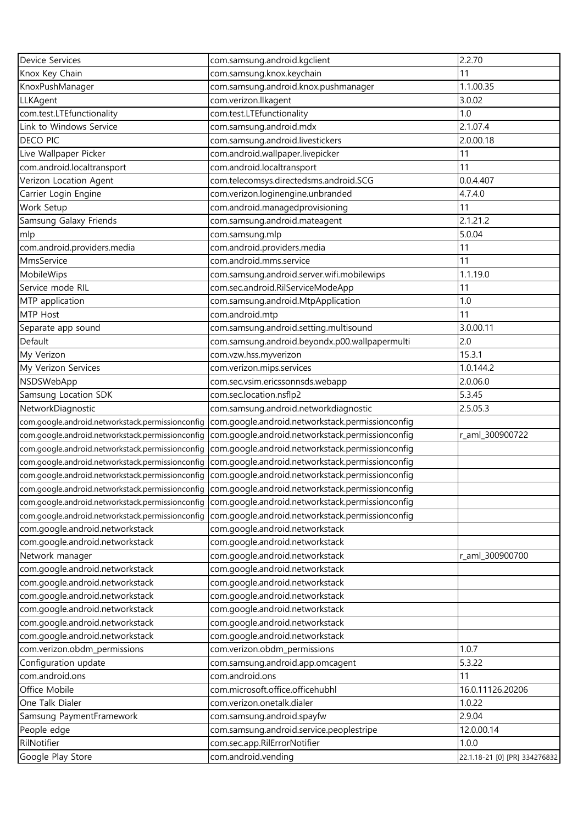| Device Services                                  | com.samsung.android.kgclient                                                                      | 2.2.70                        |
|--------------------------------------------------|---------------------------------------------------------------------------------------------------|-------------------------------|
| Knox Key Chain                                   | com.samsung.knox.keychain                                                                         | 11                            |
| KnoxPushManager                                  | com.samsung.android.knox.pushmanager                                                              | 1.1.00.35                     |
| LLKAgent                                         | com.verizon.llkagent                                                                              | 3.0.02                        |
| com.test.LTEfunctionality                        | com.test.LTEfunctionality                                                                         | 1.0                           |
| Link to Windows Service                          | com.samsung.android.mdx                                                                           | 2.1.07.4                      |
| DECO PIC                                         | com.samsung.android.livestickers                                                                  | 2.0.00.18                     |
| Live Wallpaper Picker                            | com.android.wallpaper.livepicker                                                                  | 11                            |
| com.android.localtransport                       | com.android.localtransport                                                                        | 11                            |
| Verizon Location Agent                           | com.telecomsys.directedsms.android.SCG                                                            | 0.0.4.407                     |
| Carrier Login Engine                             | com.verizon.loginengine.unbranded                                                                 | 4.7.4.0                       |
| Work Setup                                       | com.android.managedprovisioning                                                                   | 11                            |
| Samsung Galaxy Friends                           | com.samsung.android.mateagent                                                                     | 2.1.21.2                      |
| mlp                                              | com.samsung.mlp                                                                                   | 5.0.04                        |
| com.android.providers.media                      | com.android.providers.media                                                                       | 11                            |
| MmsService                                       | com.android.mms.service                                                                           | 11                            |
| MobileWips                                       | com.samsung.android.server.wifi.mobilewips                                                        | 1.1.19.0                      |
| Service mode RIL                                 | com.sec.android.RilServiceModeApp                                                                 | 11                            |
| MTP application                                  | com.samsung.android.MtpApplication                                                                | 1.0                           |
| MTP Host                                         | com.android.mtp                                                                                   | 11                            |
| Separate app sound                               | com.samsung.android.setting.multisound                                                            | 3.0.00.11                     |
| Default                                          | com.samsung.android.beyondx.p00.wallpapermulti                                                    | 2.0                           |
| My Verizon                                       | com.vzw.hss.myverizon                                                                             | 15.3.1                        |
| My Verizon Services                              | com.verizon.mips.services                                                                         | 1.0.144.2                     |
| NSDSWebApp                                       | com.sec.vsim.ericssonnsds.webapp                                                                  | 2.0.06.0                      |
| Samsung Location SDK                             | com.sec.location.nsflp2                                                                           | 5.3.45                        |
| NetworkDiagnostic                                | com.samsung.android.networkdiagnostic                                                             | 2.5.05.3                      |
| com.google.android.networkstack.permissionconfig | com.google.android.networkstack.permissionconfig                                                  |                               |
| com.google.android.networkstack.permissionconfig | com.google.android.networkstack.permissionconfig                                                  | r_aml_300900722               |
| com.google.android.networkstack.permissionconfig | com.google.android.networkstack.permissionconfig                                                  |                               |
| com.google.android.networkstack.permissionconfig | com.google.android.networkstack.permissionconfig                                                  |                               |
|                                                  | com.google.android.networkstack.permissionconfig com.google.android.networkstack.permissionconfig |                               |
|                                                  | com.google.android.networkstack.permissionconfig com.google.android.networkstack.permissionconfig |                               |
|                                                  | com.google.android.networkstack.permissionconfig com.google.android.networkstack.permissionconfig |                               |
| com.google.android.networkstack.permissionconfig | com.google.android.networkstack.permissionconfig                                                  |                               |
| com.google.android.networkstack                  | com.google.android.networkstack                                                                   |                               |
| com.google.android.networkstack                  | com.google.android.networkstack                                                                   |                               |
| Network manager                                  | com.google.android.networkstack                                                                   | r_aml_300900700               |
| com.google.android.networkstack                  | com.google.android.networkstack                                                                   |                               |
| com.google.android.networkstack                  | com.google.android.networkstack                                                                   |                               |
| com.google.android.networkstack                  | com.google.android.networkstack                                                                   |                               |
| com.google.android.networkstack                  | com.google.android.networkstack                                                                   |                               |
| com.google.android.networkstack                  | com.google.android.networkstack                                                                   |                               |
| com.google.android.networkstack                  | com.google.android.networkstack                                                                   |                               |
| com.verizon.obdm_permissions                     | com.verizon.obdm_permissions                                                                      | 1.0.7                         |
| Configuration update                             | com.samsung.android.app.omcagent                                                                  | 5.3.22                        |
| com.android.ons                                  | com.android.ons                                                                                   | 11                            |
| Office Mobile                                    | com.microsoft.office.officehubhl                                                                  | 16.0.11126.20206              |
| One Talk Dialer                                  | com.verizon.onetalk.dialer                                                                        | 1.0.22                        |
| Samsung PaymentFramework                         | com.samsung.android.spayfw                                                                        | 2.9.04                        |
| People edge                                      | com.samsung.android.service.peoplestripe                                                          | 12.0.00.14                    |
| RilNotifier                                      | com.sec.app.RilErrorNotifier                                                                      | 1.0.0                         |
| Google Play Store                                | com.android.vending                                                                               | 22.1.18-21 [0] [PR] 334276832 |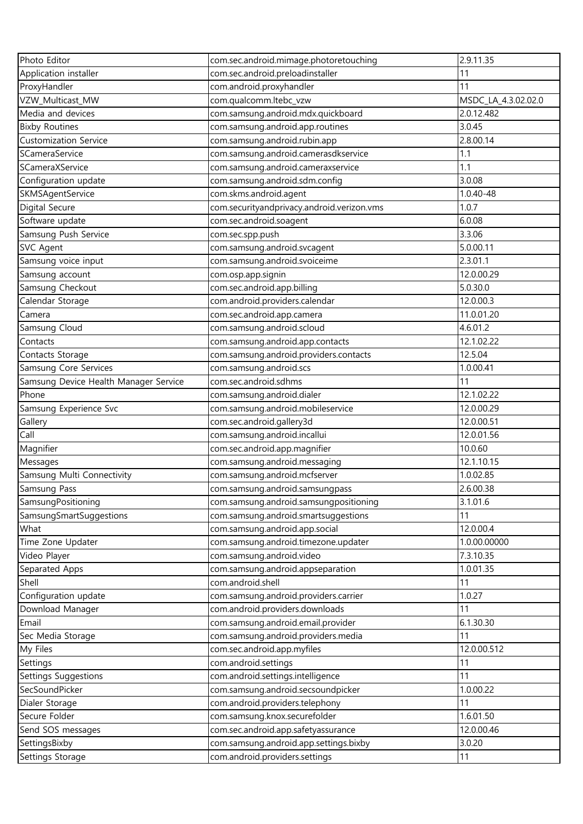| Photo Editor                          | com.sec.android.mimage.photoretouching     | 2.9.11.35           |
|---------------------------------------|--------------------------------------------|---------------------|
| Application installer                 | com.sec.android.preloadinstaller           | 11                  |
| ProxyHandler                          | com.android.proxyhandler                   | 11                  |
| VZW_Multicast_MW                      | com.qualcomm.ltebc_vzw                     | MSDC_LA_4.3.02.02.0 |
| Media and devices                     | com.samsung.android.mdx.quickboard         | 2.0.12.482          |
| <b>Bixby Routines</b>                 | com.samsung.android.app.routines           | 3.0.45              |
| <b>Customization Service</b>          | com.samsung.android.rubin.app              | 2.8.00.14           |
| SCameraService                        | com.samsung.android.camerasdkservice       | 1.1                 |
| SCameraXService                       | com.samsung.android.cameraxservice         | 1.1                 |
| Configuration update                  | com.samsung.android.sdm.config             | 3.0.08              |
| SKMSAgentService                      | com.skms.android.agent                     | 1.0.40-48           |
| Digital Secure                        | com.securityandprivacy.android.verizon.vms | 1.0.7               |
| Software update                       | com.sec.android.soagent                    | 6.0.08              |
| Samsung Push Service                  | com.sec.spp.push                           | 3.3.06              |
| <b>SVC Agent</b>                      | com.samsung.android.svcagent               | 5.0.00.11           |
| Samsung voice input                   | com.samsung.android.svoiceime              | 2.3.01.1            |
| Samsung account                       | com.osp.app.signin                         | 12.0.00.29          |
| Samsung Checkout                      | com.sec.android.app.billing                | 5.0.30.0            |
| Calendar Storage                      | com.android.providers.calendar             | 12.0.00.3           |
| Camera                                | com.sec.android.app.camera                 | 11.0.01.20          |
| Samsung Cloud                         | com.samsung.android.scloud                 | 4.6.01.2            |
| Contacts                              | com.samsung.android.app.contacts           | 12.1.02.22          |
| Contacts Storage                      | com.samsung.android.providers.contacts     | 12.5.04             |
| Samsung Core Services                 | com.samsung.android.scs                    | 1.0.00.41           |
| Samsung Device Health Manager Service | com.sec.android.sdhms                      | 11                  |
| Phone                                 | com.samsung.android.dialer                 | 12.1.02.22          |
| Samsung Experience Svc                | com.samsung.android.mobileservice          | 12.0.00.29          |
| Gallery                               | com.sec.android.gallery3d                  | 12.0.00.51          |
| Call                                  | com.samsung.android.incallui               | 12.0.01.56          |
| Magnifier                             | com.sec.android.app.magnifier              | 10.0.60             |
| Messages                              | com.samsung.android.messaging              | 12.1.10.15          |
| Samsung Multi Connectivity            | com.samsung.android.mcfserver              | 1.0.02.85           |
| Samsung Pass                          | com.samsung.android.samsungpass            | 2.6.00.38           |
| SamsungPositioning                    | com.samsung.android.samsungpositioning     | 3.1.01.6            |
| SamsungSmartSuggestions               | com.samsung.android.smartsuggestions       | 11                  |
| What                                  | com.samsung.android.app.social             | 12.0.00.4           |
| Time Zone Updater                     | com.samsung.android.timezone.updater       | 1.0.00.00000        |
| Video Player                          | com.samsung.android.video                  | 7.3.10.35           |
| Separated Apps                        | com.samsung.android.appseparation          | 1.0.01.35           |
| Shell                                 | com.android.shell                          | 11                  |
| Configuration update                  | com.samsung.android.providers.carrier      | 1.0.27              |
| Download Manager                      | com.android.providers.downloads            | 11                  |
| Email                                 | com.samsung.android.email.provider         | 6.1.30.30           |
| Sec Media Storage                     | com.samsung.android.providers.media        | 11                  |
| My Files                              | com.sec.android.app.myfiles                | 12.0.00.512         |
| Settings                              | com.android.settings                       | 11                  |
| Settings Suggestions                  | com.android.settings.intelligence          | 11                  |
| SecSoundPicker                        | com.samsung.android.secsoundpicker         | 1.0.00.22           |
| Dialer Storage                        | com.android.providers.telephony            | 11                  |
| Secure Folder                         | com.samsung.knox.securefolder              | 1.6.01.50           |
| Send SOS messages                     | com.sec.android.app.safetyassurance        | 12.0.00.46          |
| SettingsBixby                         | com.samsung.android.app.settings.bixby     | 3.0.20              |
| Settings Storage                      | com.android.providers.settings             | 11                  |
|                                       |                                            |                     |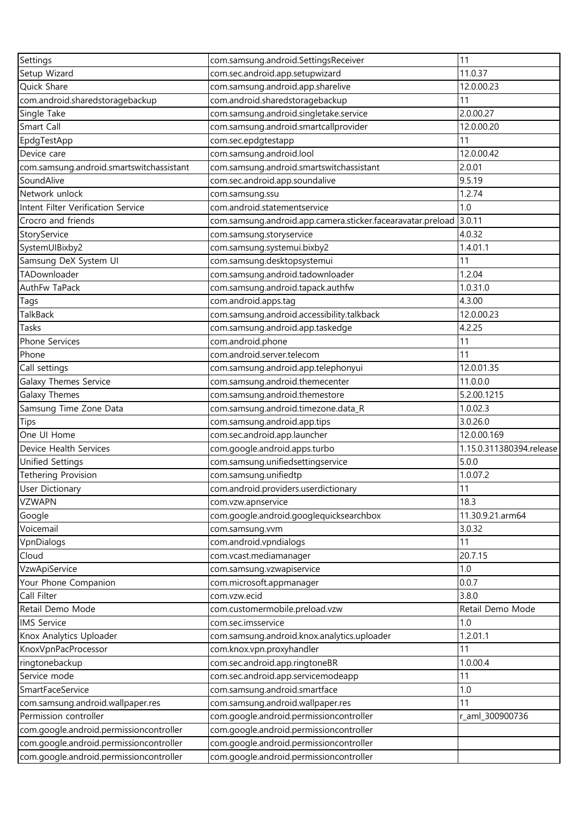| Settings                                 | com.samsung.android.SettingsReceiver                        | 11                       |
|------------------------------------------|-------------------------------------------------------------|--------------------------|
| Setup Wizard                             | com.sec.android.app.setupwizard                             | 11.0.37                  |
| Quick Share                              | com.samsung.android.app.sharelive                           | 12.0.00.23               |
| com.android.sharedstoragebackup          | com.android.sharedstoragebackup                             | 11                       |
| Single Take                              | com.samsung.android.singletake.service                      | 2.0.00.27                |
| Smart Call                               | com.samsung.android.smartcallprovider                       | 12.0.00.20               |
| EpdgTestApp                              | com.sec.epdgtestapp                                         | 11                       |
| Device care                              | com.samsung.android.lool                                    | 12.0.00.42               |
| com.samsung.android.smartswitchassistant | com.samsung.android.smartswitchassistant                    | 2.0.01                   |
| SoundAlive                               | com.sec.android.app.soundalive                              | 9.5.19                   |
| Network unlock                           | com.samsung.ssu                                             | 1.2.74                   |
| Intent Filter Verification Service       | com.android.statementservice                                | 1.0                      |
| Crocro and friends                       | com.samsung.android.app.camera.sticker.facearavatar.preload | 3.0.11                   |
| StoryService                             | com.samsung.storyservice                                    | 4.0.32                   |
| SystemUIBixby2                           | com.samsung.systemui.bixby2                                 | 1.4.01.1                 |
| Samsung DeX System UI                    | com.samsung.desktopsystemui                                 | 11                       |
| TADownloader                             | com.samsung.android.tadownloader                            | 1.2.04                   |
| AuthFw TaPack                            | com.samsung.android.tapack.authfw                           | 1.0.31.0                 |
| Tags                                     | com.android.apps.tag                                        | 4.3.00                   |
| TalkBack                                 | com.samsung.android.accessibility.talkback                  | 12.0.00.23               |
| Tasks                                    | com.samsung.android.app.taskedge                            | 4.2.25                   |
| Phone Services                           | com.android.phone                                           | 11                       |
| Phone                                    | com.android.server.telecom                                  | 11                       |
| Call settings                            | com.samsung.android.app.telephonyui                         | 12.0.01.35               |
| Galaxy Themes Service                    | com.samsung.android.themecenter                             | 11.0.0.0                 |
|                                          |                                                             | 5.2.00.1215              |
| Galaxy Themes                            | com.samsung.android.themestore                              | 1.0.02.3                 |
| Samsung Time Zone Data                   | com.samsung.android.timezone.data_R                         |                          |
| Tips                                     | com.samsung.android.app.tips                                | 3.0.26.0                 |
| One UI Home                              | com.sec.android.app.launcher                                | 12.0.00.169              |
| Device Health Services                   | com.google.android.apps.turbo                               | 1.15.0.311380394.release |
| <b>Unified Settings</b>                  | com.samsung.unifiedsettingservice                           | 5.0.0                    |
| <b>Tethering Provision</b>               | com.samsung.unifiedtp                                       | 1.0.07.2                 |
| User Dictionary                          | com.android.providers.userdictionary                        | 11                       |
| <b>VZWAPN</b>                            | com.vzw.apnservice                                          | 18.3                     |
| Google                                   | com.google.android.googlequicksearchbox                     | 11.30.9.21.arm64         |
| Voicemail                                | com.samsung.vvm                                             | 3.0.32                   |
| VpnDialogs                               | com.android.vpndialogs                                      | 11                       |
| Cloud                                    | com.vcast.mediamanager                                      | 20.7.15                  |
| VzwApiService                            | com.samsung.vzwapiservice                                   | 1.0                      |
| Your Phone Companion                     | com.microsoft.appmanager                                    | 0.0.7                    |
| Call Filter                              | com.vzw.ecid                                                | 3.8.0                    |
| Retail Demo Mode                         | com.customermobile.preload.vzw                              | Retail Demo Mode         |
| <b>IMS Service</b>                       | com.sec.imsservice                                          | 1.0                      |
| Knox Analytics Uploader                  | com.samsung.android.knox.analytics.uploader                 | 1.2.01.1                 |
| KnoxVpnPacProcessor                      | com.knox.vpn.proxyhandler                                   | 11                       |
| ringtonebackup                           | com.sec.android.app.ringtoneBR                              | 1.0.00.4                 |
| Service mode                             | com.sec.android.app.servicemodeapp                          | 11                       |
| SmartFaceService                         | com.samsung.android.smartface                               | 1.0                      |
| com.samsung.android.wallpaper.res        | com.samsung.android.wallpaper.res                           | 11                       |
| Permission controller                    | com.google.android.permissioncontroller                     | r_aml_300900736          |
| com.google.android.permissioncontroller  | com.google.android.permissioncontroller                     |                          |
| com.google.android.permissioncontroller  | com.google.android.permissioncontroller                     |                          |
| com.google.android.permissioncontroller  | com.google.android.permissioncontroller                     |                          |
|                                          |                                                             |                          |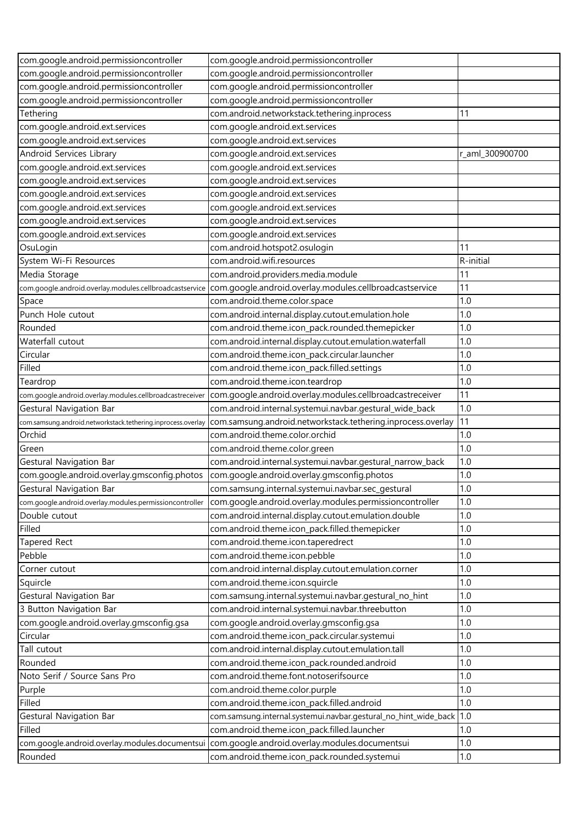| com.google.android.permissioncontroller                      | com.google.android.permissioncontroller                                                       |                 |
|--------------------------------------------------------------|-----------------------------------------------------------------------------------------------|-----------------|
| com.google.android.permissioncontroller                      | com.google.android.permissioncontroller                                                       |                 |
| com.google.android.permissioncontroller                      | com.google.android.permissioncontroller                                                       |                 |
| com.google.android.permissioncontroller                      | com.google.android.permissioncontroller                                                       |                 |
| Tethering                                                    | com.android.networkstack.tethering.inprocess                                                  | 11              |
| com.google.android.ext.services                              | com.google.android.ext.services                                                               |                 |
| com.google.android.ext.services                              | com.google.android.ext.services                                                               |                 |
| Android Services Library                                     | com.google.android.ext.services                                                               | r_aml_300900700 |
| com.google.android.ext.services                              | com.google.android.ext.services                                                               |                 |
| com.google.android.ext.services                              | com.google.android.ext.services                                                               |                 |
| com.google.android.ext.services                              | com.google.android.ext.services                                                               |                 |
| com.google.android.ext.services                              | com.google.android.ext.services                                                               |                 |
| com.google.android.ext.services                              | com.google.android.ext.services                                                               |                 |
| com.google.android.ext.services                              | com.google.android.ext.services                                                               |                 |
| OsuLogin                                                     | com.android.hotspot2.osulogin                                                                 | 11              |
| System Wi-Fi Resources                                       | com.android.wifi.resources                                                                    | R-initial       |
| Media Storage                                                | com.android.providers.media.module                                                            | 11              |
| com.google.android.overlay.modules.cellbroadcastservice      | com.google.android.overlay.modules.cellbroadcastservice                                       | 11              |
| Space                                                        | com.android.theme.color.space                                                                 | 1.0             |
| Punch Hole cutout                                            | com.android.internal.display.cutout.emulation.hole                                            | 1.0             |
| Rounded                                                      | com.android.theme.icon_pack.rounded.themepicker                                               | 1.0             |
| Waterfall cutout                                             | com.android.internal.display.cutout.emulation.waterfall                                       | 1.0             |
| Circular                                                     | com.android.theme.icon_pack.circular.launcher                                                 | 1.0             |
| Filled                                                       | com.android.theme.icon_pack.filled.settings                                                   | 1.0             |
| Teardrop                                                     | com.android.theme.icon.teardrop                                                               | 1.0             |
| com.google.android.overlay.modules.cellbroadcastreceiver     | com.google.android.overlay.modules.cellbroadcastreceiver                                      | 11              |
| Gestural Navigation Bar                                      | com.android.internal.systemui.navbar.gestural_wide_back                                       | 1.0             |
| com.samsung.android.networkstack.tethering.inprocess.overlay | com.samsung.android.networkstack.tethering.inprocess.overlay                                  | 11              |
| Orchid                                                       | com.android.theme.color.orchid                                                                | 1.0             |
| Green                                                        | com.android.theme.color.green                                                                 | 1.0             |
| Gestural Navigation Bar                                      | com.android.internal.systemui.navbar.gestural_narrow_back                                     | 1.0             |
| com.google.android.overlay.gmsconfig.photos                  | com.google.android.overlay.gmsconfig.photos                                                   | 1.0             |
| Gestural Navigation Bar                                      | com.samsung.internal.systemui.navbar.sec_gestural                                             | 1.0             |
| com.google.android.overlay.modules.permissioncontroller      | com.google.android.overlay.modules.permissioncontroller                                       | 1.0             |
| Double cutout                                                | com.android.internal.display.cutout.emulation.double                                          | 1.0             |
| Filled                                                       | com.android.theme.icon_pack.filled.themepicker                                                | 1.0             |
| <b>Tapered Rect</b>                                          | com.android.theme.icon.taperedrect                                                            | 1.0             |
| Pebble                                                       | com.android.theme.icon.pebble                                                                 | 1.0             |
| Corner cutout                                                | com.android.internal.display.cutout.emulation.corner                                          | 1.0             |
| Squircle                                                     | com.android.theme.icon.squircle                                                               | 1.0             |
| Gestural Navigation Bar                                      | com.samsung.internal.systemui.navbar.gestural_no_hint                                         | 1.0             |
| 3 Button Navigation Bar                                      | com.android.internal.systemui.navbar.threebutton                                              | 1.0             |
| com.google.android.overlay.gmsconfig.gsa                     | com.google.android.overlay.gmsconfig.gsa                                                      | 1.0             |
| Circular                                                     | com.android.theme.icon_pack.circular.systemui                                                 | 1.0             |
| Tall cutout                                                  | com.android.internal.display.cutout.emulation.tall                                            | 1.0             |
| Rounded                                                      | com.android.theme.icon_pack.rounded.android                                                   | 1.0             |
| Noto Serif / Source Sans Pro                                 | com.android.theme.font.notoserifsource                                                        | 1.0             |
| Purple                                                       | com.android.theme.color.purple                                                                | 1.0             |
| Filled                                                       | com.android.theme.icon_pack.filled.android                                                    | 1.0             |
| Gestural Navigation Bar                                      | com.samsung.internal.systemui.navbar.gestural_no_hint_wide_back 1.0                           |                 |
| Filled                                                       | com.android.theme.icon_pack.filled.launcher                                                   | 1.0             |
|                                                              | com.google.android.overlay.modules.documentsui com.google.android.overlay.modules.documentsui | 1.0             |
| Rounded                                                      | com.android.theme.icon_pack.rounded.systemui                                                  | 1.0             |